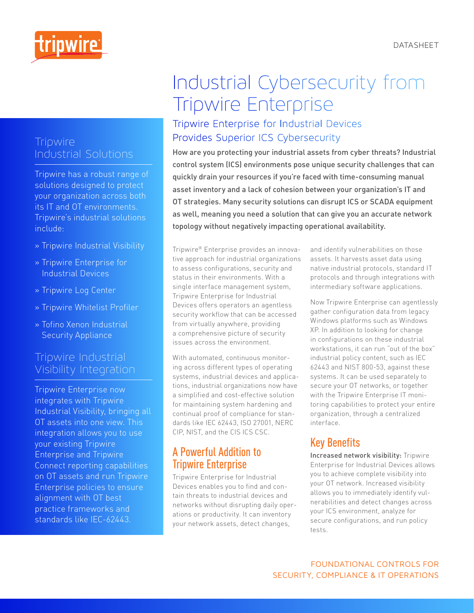DATASHEET



#### **Tripwire** Industrial Solutions

Tripwire has a robust range of solutions designed to protect your organization across both its IT and OT environments. Tripwire's industrial solutions include:

- » Tripwire Industrial Visibility
- » Tripwire Enterprise for Industrial Devices
- » Tripwire Log Center
- » Tripwire Whitelist Profiler
- » Tofino Xenon Industrial Security Appliance

#### Tripwire Industrial Visibility Integration

Tripwire Enterprise now integrates with Tripwire Industrial Visibility, bringing all OT assets into one view. This integration allows you to use your existing Tripwire Enterprise and Tripwire Connect reporting capabilities on OT assets and run Tripwire Enterprise policies to ensure alignment with OT best practice frameworks and standards like IEC-62443.

# Industrial Cybersecurity from Tripwire Enterprise

### Tripwire Enterprise for Industrial Devices Provides Superior ICS Cybersecurity

How are you protecting your industrial assets from cyber threats? Industrial control system (ICS) environments pose unique security challenges that can quickly drain your resources if you're faced with time-consuming manual asset inventory and a lack of cohesion between your organization's IT and OT strategies. Many security solutions can disrupt ICS or SCADA equipment as well, meaning you need a solution that can give you an accurate network topology without negatively impacting operational availability.

Tripwire® Enterprise provides an innovative approach for industrial organizations to assess configurations, security and status in their environments. With a single interface management system, Tripwire Enterprise for Industrial Devices offers operators an agentless security workflow that can be accessed from virtually anywhere, providing a comprehensive picture of security issues across the environment.

With automated, continuous monitoring across different types of operating systems, industrial devices and applications, industrial organizations now have a simplified and cost-effective solution for maintaining system hardening and continual proof of compliance for standards like IEC 62443, ISO 27001, NERC CIP, NIST, and the CIS ICS CSC.

### A Powerful Addition to Tripwire Enterprise

Tripwire Enterprise for Industrial Devices enables you to find and contain threats to industrial devices and networks without disrupting daily operations or productivity. It can inventory your network assets, detect changes,

and identify vulnerabilities on those assets. It harvests asset data using native industrial protocols, standard IT protocols and through integrations with intermediary software applications.

Now Tripwire Enterprise can agentlessly gather configuration data from legacy Windows platforms such as Windows XP. In addition to looking for change in configurations on these industrial workstations, it can run "out of the box" industrial policy content, such as IEC 62443 and NIST 800-53, against these systems. It can be used separately to secure your OT networks, or together with the Tripwire Enterprise IT monitoring capabilities to protect your entire organization, through a centralized interface.

## Key Benefits

Increased network visibility: Tripwire Enterprise for Industrial Devices allows you to achieve complete visibility into your OT network. Increased visibility allows you to immediately identify vulnerabilities and detect changes across your ICS environment, analyze for secure configurations, and run policy tests.